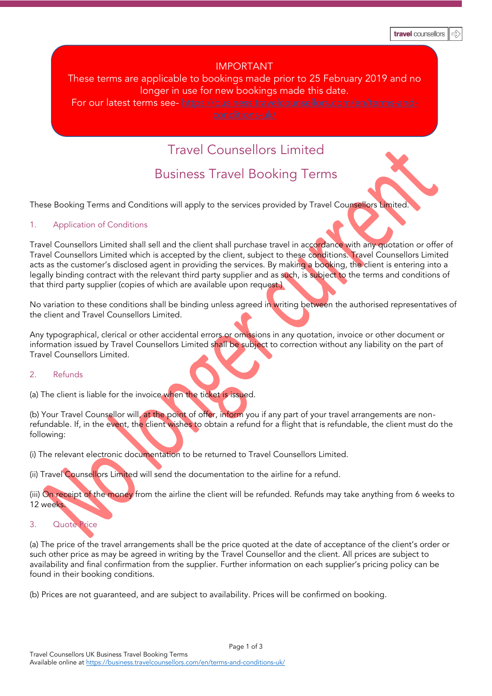### IMPORTANT

## These terms are applicable to bookings made prior to 25 February 2019 and no longer in use for new bookings made this date.

For our latest terms see- [https://business.travelcounsellors.com/en/terms-and-](https://business.travelcounsellors.com/en/terms-and-conditions-uk/)

# Travel Counsellors Limited

## Business Travel Booking Terms

These Booking Terms and Conditions will apply to the services provided by Travel Counsellors Limited.

#### 1. Application of Conditions

Travel Counsellors Limited shall sell and the client shall purchase travel in accordance with any quotation or offer of Travel Counsellors Limited which is accepted by the client, subject to these conditions. Travel Counsellors Limited acts as the customer's disclosed agent in providing the services. By making a booking, the client is entering into a legally binding contract with the relevant third party supplier and as such, is subject to the terms and conditions of that third party supplier (copies of which are available upon request.)

No variation to these conditions shall be binding unless agreed in writing between the authorised representatives of the client and Travel Counsellors Limited.

Any typographical, clerical or other accidental errors or omissions in any quotation, invoice or other document or information issued by Travel Counsellors Limited shall be subject to correction without any liability on the part of Travel Counsellors Limited.

#### 2. Refunds

(a) The client is liable for the invoice when the ticket is issued.

(b) Your Travel Counsellor will, at the point of offer, inform you if any part of your travel arrangements are nonrefundable. If, in the event, the client wishes to obtain a refund for a flight that is refundable, the client must do the following:

(i) The relevant electronic documentation to be returned to Travel Counsellors Limited.

(ii) Travel Counsellors Limited will send the documentation to the airline for a refund.

(iii) On receipt of the money from the airline the client will be refunded. Refunds may take anything from 6 weeks to 12 weeks.

#### 3. Quote Price

(a) The price of the travel arrangements shall be the price quoted at the date of acceptance of the client's order or such other price as may be agreed in writing by the Travel Counsellor and the client. All prices are subject to availability and final confirmation from the supplier. Further information on each supplier's pricing policy can be found in their booking conditions.

(b) Prices are not guaranteed, and are subject to availability. Prices will be confirmed on booking.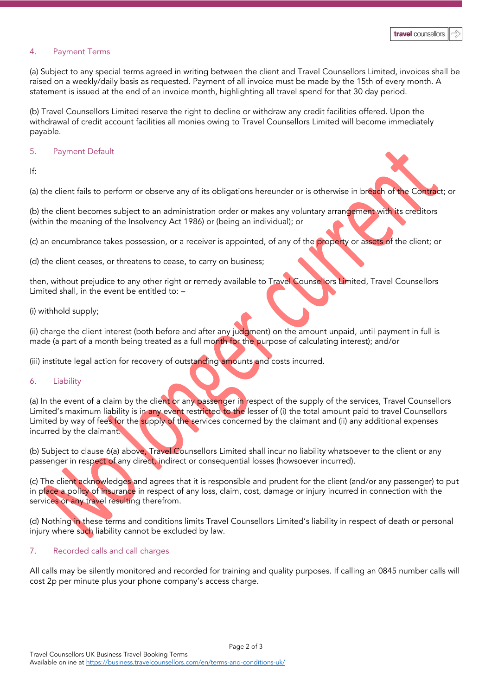#### 4. Payment Terms

(a) Subject to any special terms agreed in writing between the client and Travel Counsellors Limited, invoices shall be raised on a weekly/daily basis as requested. Payment of all invoice must be made by the 15th of every month. A statement is issued at the end of an invoice month, highlighting all travel spend for that 30 day period.

(b) Travel Counsellors Limited reserve the right to decline or withdraw any credit facilities offered. Upon the withdrawal of credit account facilities all monies owing to Travel Counsellors Limited will become immediately payable.

#### 5. Payment Default

#### If:

(a) the client fails to perform or observe any of its obligations hereunder or is otherwise in breach of the Contract; or

(b) the client becomes subject to an administration order or makes any voluntary arrangement with its creditors (within the meaning of the Insolvency Act 1986) or (being an individual); or

(c) an encumbrance takes possession, or a receiver is appointed, of any of the property or assets of the client; or

(d) the client ceases, or threatens to cease, to carry on business;

then, without prejudice to any other right or remedy available to Travel Counsellors Limited, Travel Counsellors Limited shall, in the event be entitled to: –

(i) withhold supply;

(ii) charge the client interest (both before and after any judgment) on the amount unpaid, until payment in full is made (a part of a month being treated as a full month for the purpose of calculating interest); and/or

(iii) institute legal action for recovery of outstanding amounts and costs incurred.

#### 6. Liability

(a) In the event of a claim by the client or any passenger in respect of the supply of the services, Travel Counsellors Limited's maximum liability is in any event restricted to the lesser of (i) the total amount paid to travel Counsellors Limited by way of fees for the supply of the services concerned by the claimant and (ii) any additional expenses incurred by the claimant.

(b) Subject to clause 6(a) above, Travel Counsellors Limited shall incur no liability whatsoever to the client or any passenger in respect of any direct, indirect or consequential losses (howsoever incurred).

(c) The client acknowledges and agrees that it is responsible and prudent for the client (and/or any passenger) to put in place a policy of insurance in respect of any loss, claim, cost, damage or injury incurred in connection with the services or any travel resulting therefrom.

(d) Nothing in these terms and conditions limits Travel Counsellors Limited's liability in respect of death or personal injury where such liability cannot be excluded by law.

#### 7. Recorded calls and call charges

All calls may be silently monitored and recorded for training and quality purposes. If calling an 0845 number calls will cost 2p per minute plus your phone company's access charge.